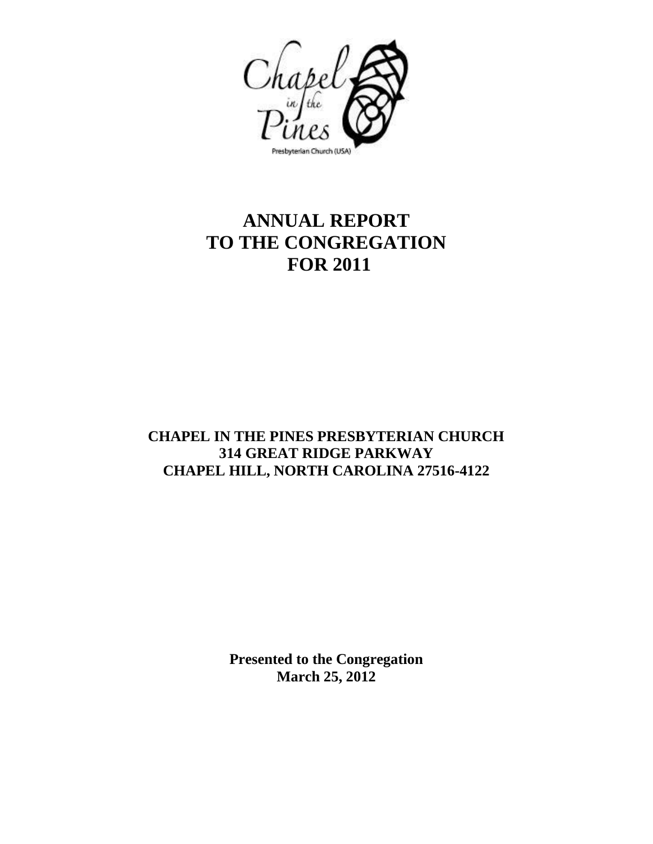

# **ANNUAL REPORT TO THE CONGREGATION FOR 2011**

# **CHAPEL IN THE PINES PRESBYTERIAN CHURCH 314 GREAT RIDGE PARKWAY CHAPEL HILL, NORTH CAROLINA 27516-4122**

**Presented to the Congregation March 25, 2012**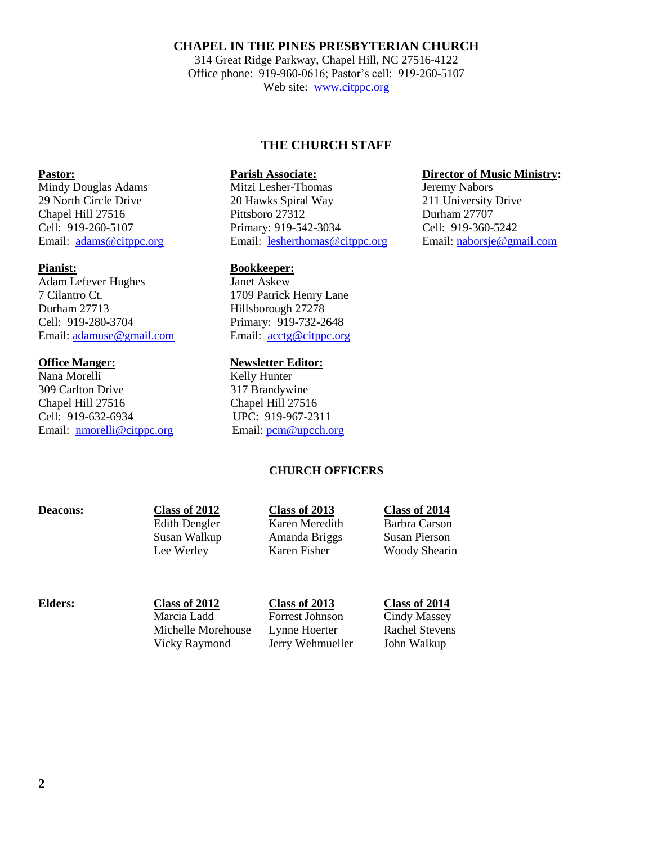# **CHAPEL IN THE PINES PRESBYTERIAN CHURCH**

314 Great Ridge Parkway, Chapel Hill, NC 27516-4122 Office phone: 919-960-0616; Pastor's cell: 919-260-5107 Web site: [www.citppc.org](http://www.citppc.org/)

# **THE CHURCH STAFF**

Mindy Douglas Adams Mitzi Lesher-Thomas Jeremy Nabors 29 North Circle Drive 20 Hawks Spiral Way 211 University Drive Chapel Hill 27516 Pittsboro 27312 Durham 27707 Cell: 919-260-5107 Primary: 919-542-3034 Cell: 919-360-5242 Email: [adams@citppc.org](mailto:adams@citppc.org) Email: [lesherthomas@citppc.org](mailto:lesherthomas@citppc.org) Email: [naborsje@gmail.com](mailto:naborsje@gmail.com)

# **Pianist: Bookkeeper:**

Adam Lefever Hughes Janet Askew 7 Cilantro Ct. 1709 Patrick Henry Lane Durham 27713 Hillsborough 27278 Cell: 919-280-3704 Primary: 919-732-2648 Email: [adamuse@gmail.com](mailto:adamuse@gmail.com) Email: [acctg@citppc.org](mailto:acctg@citppc.org)

# **Office Manger: Newsletter Editor:**

Nana Morelli Kelly Hunter 309 Carlton Drive 317 Brandywine Chapel Hill 27516 Chapel Hill 27516 Cell: 919-632-6934 UPC: 919-967-2311 Email: [nmorelli@citppc.org](mailto:nmorelli@citppc.org) Email[: pcm@upcch.org](mailto:pcm@upcch.org)

# **CHURCH OFFICERS**

| <b>Deacons:</b> | Class of 2012 | Class of 2013  | Class of 2014        |
|-----------------|---------------|----------------|----------------------|
|                 | Edith Dengler | Karen Meredith | Barbra Carson        |
|                 | Susan Walkup  | Amanda Briggs  | Susan Pierson        |
|                 | Lee Werley    | Karen Fisher   | <b>Woody Shearin</b> |
|                 |               |                |                      |

**Elders:** Class of 2012<br>
Marcia Ladd **Class of 2013** Class of 2014<br>
Cindy Massey

Forrest Johnson Cindy Massey Michelle Morehouse Lynne Hoerter Rachel Stevens Vicky Raymond Jerry Wehmueller John Walkup

# **Pastor: Parish Associate: Parish Associate: Director of Music Ministry:**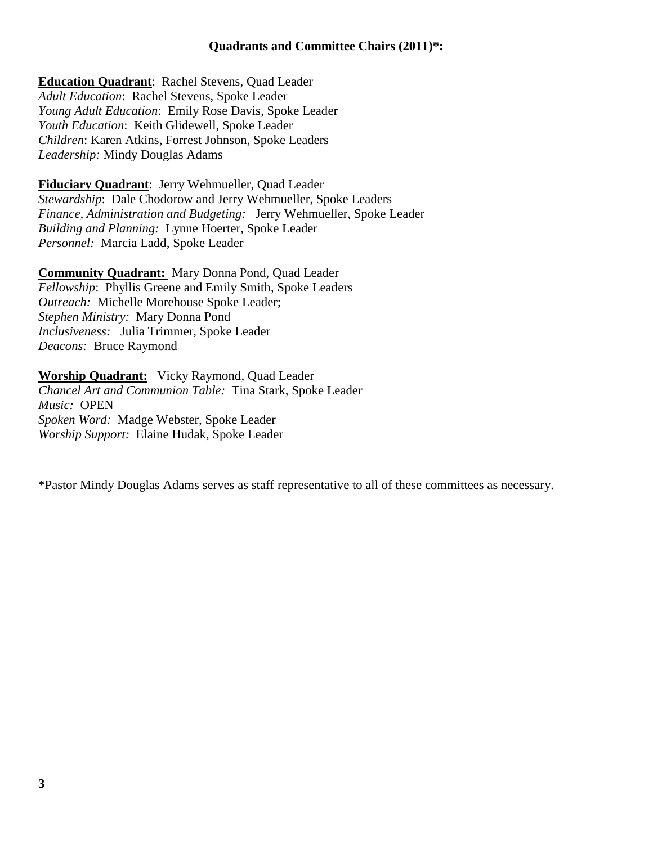**Education Quadrant**: Rachel Stevens, Quad Leader *Adult Education*: Rachel Stevens, Spoke Leader *Young Adult Education*: Emily Rose Davis, Spoke Leader *Youth Education*: Keith Glidewell, Spoke Leader *Children*: Karen Atkins, Forrest Johnson, Spoke Leaders *Leadership:* Mindy Douglas Adams

**Fiduciary Quadrant**: Jerry Wehmueller, Quad Leader *Stewardship*: Dale Chodorow and Jerry Wehmueller, Spoke Leaders *Finance, Administration and Budgeting:* Jerry Wehmueller, Spoke Leader *Building and Planning:* Lynne Hoerter, Spoke Leader *Personnel:* Marcia Ladd, Spoke Leader

**Community Quadrant:** Mary Donna Pond, Quad Leader *Fellowship*: Phyllis Greene and Emily Smith, Spoke Leaders *Outreach:* Michelle Morehouse Spoke Leader; *Stephen Ministry:* Mary Donna Pond *Inclusiveness:* Julia Trimmer, Spoke Leader *Deacons:* Bruce Raymond

**Worship Quadrant:** Vicky Raymond, Quad Leader *Chancel Art and Communion Table:* Tina Stark, Spoke Leader *Music:* OPEN *Spoken Word:* Madge Webster, Spoke Leader *Worship Support:* Elaine Hudak, Spoke Leader

\*Pastor Mindy Douglas Adams serves as staff representative to all of these committees as necessary.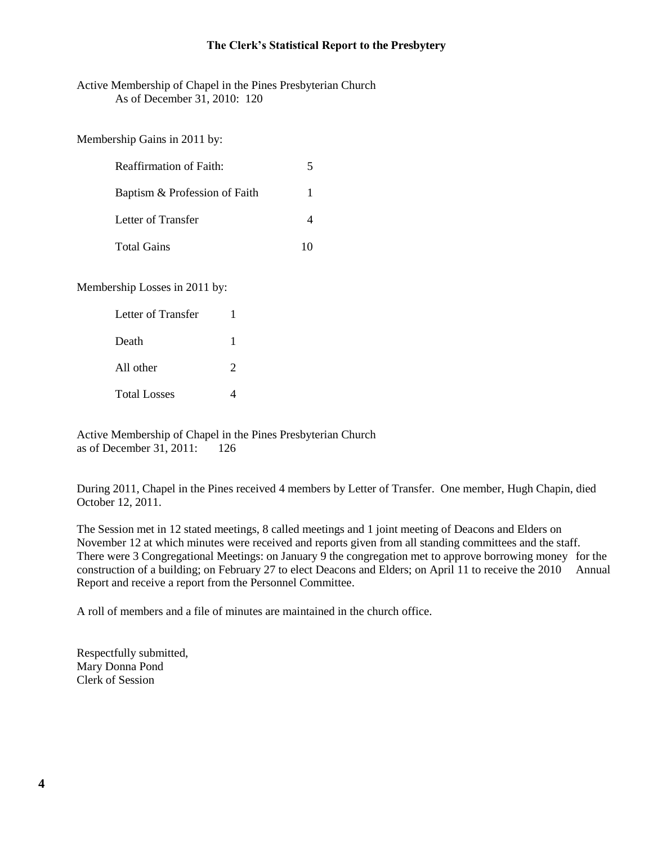### **The Clerk's Statistical Report to the Presbytery**

Active Membership of Chapel in the Pines Presbyterian Church As of December 31, 2010: 120

Membership Gains in 2011 by:

| <b>Reaffirmation of Faith:</b> | 5 |  |
|--------------------------------|---|--|
| Baptism & Profession of Faith  |   |  |
| Letter of Transfer             |   |  |
| <b>Total Gains</b>             |   |  |

Membership Losses in 2011 by:

| Letter of Transfer  |               |  |  |
|---------------------|---------------|--|--|
| Death               |               |  |  |
| All other           | $\mathcal{D}$ |  |  |
| <b>Total Losses</b> | 4             |  |  |

Active Membership of Chapel in the Pines Presbyterian Church as of December 31, 2011: 126

During 2011, Chapel in the Pines received 4 members by Letter of Transfer. One member, Hugh Chapin, died October 12, 2011.

The Session met in 12 stated meetings, 8 called meetings and 1 joint meeting of Deacons and Elders on November 12 at which minutes were received and reports given from all standing committees and the staff. There were 3 Congregational Meetings: on January 9 the congregation met to approve borrowing money for the construction of a building; on February 27 to elect Deacons and Elders; on April 11 to receive the 2010 Annual Report and receive a report from the Personnel Committee.

A roll of members and a file of minutes are maintained in the church office.

Respectfully submitted, Mary Donna Pond Clerk of Session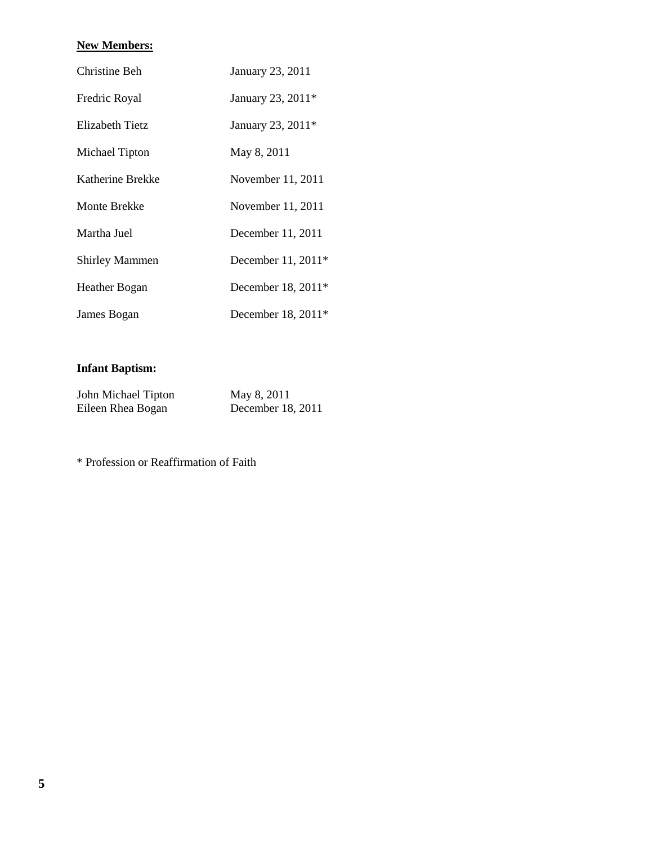# **New Members:**

| Christine Beh         | January 23, 2011     |
|-----------------------|----------------------|
| Fredric Royal         | January 23, 2011*    |
| Elizabeth Tietz       | January 23, 2011*    |
| Michael Tipton        | May 8, 2011          |
| Katherine Brekke      | November 11, 2011    |
| Monte Brekke          | November 11, 2011    |
| Martha Juel           | December 11, 2011    |
| <b>Shirley Mammen</b> | December 11, 2011*   |
| Heather Bogan         | December 18, 2011*   |
| James Bogan           | December 18, $2011*$ |

# **Infant Baptism:**

| John Michael Tipton | May 8, 2011       |
|---------------------|-------------------|
| Eileen Rhea Bogan   | December 18, 2011 |

\* Profession or Reaffirmation of Faith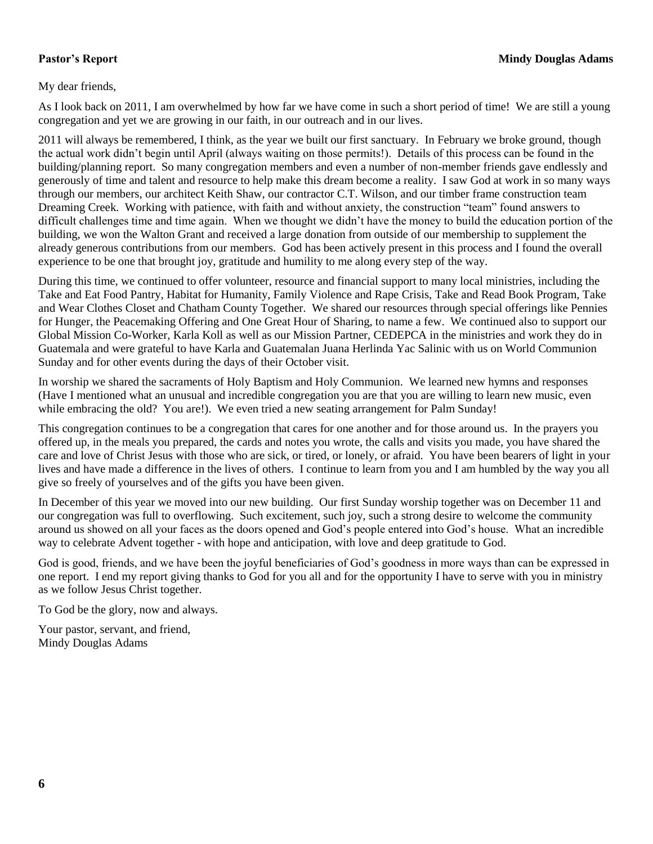My dear friends,

As I look back on 2011, I am overwhelmed by how far we have come in such a short period of time! We are still a young congregation and yet we are growing in our faith, in our outreach and in our lives.

2011 will always be remembered, I think, as the year we built our first sanctuary. In February we broke ground, though the actual work didn't begin until April (always waiting on those permits!). Details of this process can be found in the building/planning report. So many congregation members and even a number of non-member friends gave endlessly and generously of time and talent and resource to help make this dream become a reality. I saw God at work in so many ways through our members, our architect Keith Shaw, our contractor C.T. Wilson, and our timber frame construction team Dreaming Creek. Working with patience, with faith and without anxiety, the construction "team" found answers to difficult challenges time and time again. When we thought we didn't have the money to build the education portion of the building, we won the Walton Grant and received a large donation from outside of our membership to supplement the already generous contributions from our members. God has been actively present in this process and I found the overall experience to be one that brought joy, gratitude and humility to me along every step of the way.

During this time, we continued to offer volunteer, resource and financial support to many local ministries, including the Take and Eat Food Pantry, Habitat for Humanity, Family Violence and Rape Crisis, Take and Read Book Program, Take and Wear Clothes Closet and Chatham County Together. We shared our resources through special offerings like Pennies for Hunger, the Peacemaking Offering and One Great Hour of Sharing, to name a few. We continued also to support our Global Mission Co-Worker, Karla Koll as well as our Mission Partner, CEDEPCA in the ministries and work they do in Guatemala and were grateful to have Karla and Guatemalan Juana Herlinda Yac Salinic with us on World Communion Sunday and for other events during the days of their October visit.

In worship we shared the sacraments of Holy Baptism and Holy Communion. We learned new hymns and responses (Have I mentioned what an unusual and incredible congregation you are that you are willing to learn new music, even while embracing the old? You are!). We even tried a new seating arrangement for Palm Sunday!

This congregation continues to be a congregation that cares for one another and for those around us. In the prayers you offered up, in the meals you prepared, the cards and notes you wrote, the calls and visits you made, you have shared the care and love of Christ Jesus with those who are sick, or tired, or lonely, or afraid. You have been bearers of light in your lives and have made a difference in the lives of others. I continue to learn from you and I am humbled by the way you all give so freely of yourselves and of the gifts you have been given.

In December of this year we moved into our new building. Our first Sunday worship together was on December 11 and our congregation was full to overflowing. Such excitement, such joy, such a strong desire to welcome the community around us showed on all your faces as the doors opened and God's people entered into God's house. What an incredible way to celebrate Advent together - with hope and anticipation, with love and deep gratitude to God.

God is good, friends, and we have been the joyful beneficiaries of God's goodness in more ways than can be expressed in one report. I end my report giving thanks to God for you all and for the opportunity I have to serve with you in ministry as we follow Jesus Christ together.

To God be the glory, now and always.

Your pastor, servant, and friend, Mindy Douglas Adams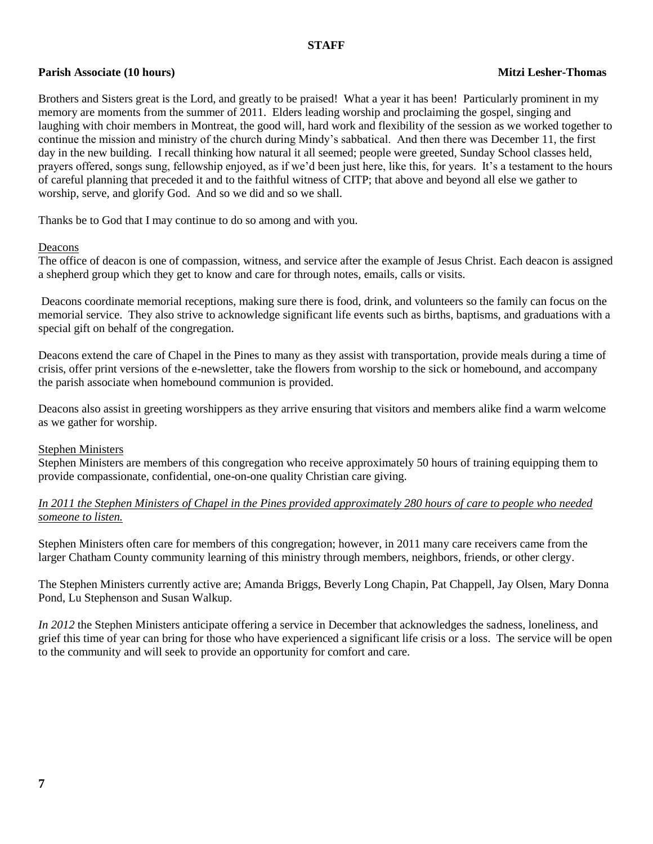### **STAFF**

# **Parish Associate** (10 hours) **Mitzi Lesher-Thomas Mitzi Lesher-Thomas Mitzi Lesher-Thomas**

Brothers and Sisters great is the Lord, and greatly to be praised! What a year it has been! Particularly prominent in my memory are moments from the summer of 2011. Elders leading worship and proclaiming the gospel, singing and laughing with choir members in Montreat, the good will, hard work and flexibility of the session as we worked together to continue the mission and ministry of the church during Mindy's sabbatical. And then there was December 11, the first day in the new building. I recall thinking how natural it all seemed; people were greeted, Sunday School classes held, prayers offered, songs sung, fellowship enjoyed, as if we'd been just here, like this, for years. It's a testament to the hours of careful planning that preceded it and to the faithful witness of CITP; that above and beyond all else we gather to worship, serve, and glorify God. And so we did and so we shall.

Thanks be to God that I may continue to do so among and with you.

### Deacons

The office of deacon is one of compassion, witness, and service after the example of Jesus Christ. Each deacon is assigned a shepherd group which they get to know and care for through notes, emails, calls or visits.

Deacons coordinate memorial receptions, making sure there is food, drink, and volunteers so the family can focus on the memorial service. They also strive to acknowledge significant life events such as births, baptisms, and graduations with a special gift on behalf of the congregation.

Deacons extend the care of Chapel in the Pines to many as they assist with transportation, provide meals during a time of crisis, offer print versions of the e-newsletter, take the flowers from worship to the sick or homebound, and accompany the parish associate when homebound communion is provided.

Deacons also assist in greeting worshippers as they arrive ensuring that visitors and members alike find a warm welcome as we gather for worship.

### Stephen Ministers

Stephen Ministers are members of this congregation who receive approximately 50 hours of training equipping them to provide compassionate, confidential, one-on-one quality Christian care giving.

*In 2011 the Stephen Ministers of Chapel in the Pines provided approximately 280 hours of care to people who needed someone to listen.*

Stephen Ministers often care for members of this congregation; however, in 2011 many care receivers came from the larger Chatham County community learning of this ministry through members, neighbors, friends, or other clergy.

The Stephen Ministers currently active are; Amanda Briggs, Beverly Long Chapin, Pat Chappell, Jay Olsen, Mary Donna Pond, Lu Stephenson and Susan Walkup.

*In 2012* the Stephen Ministers anticipate offering a service in December that acknowledges the sadness, loneliness, and grief this time of year can bring for those who have experienced a significant life crisis or a loss. The service will be open to the community and will seek to provide an opportunity for comfort and care.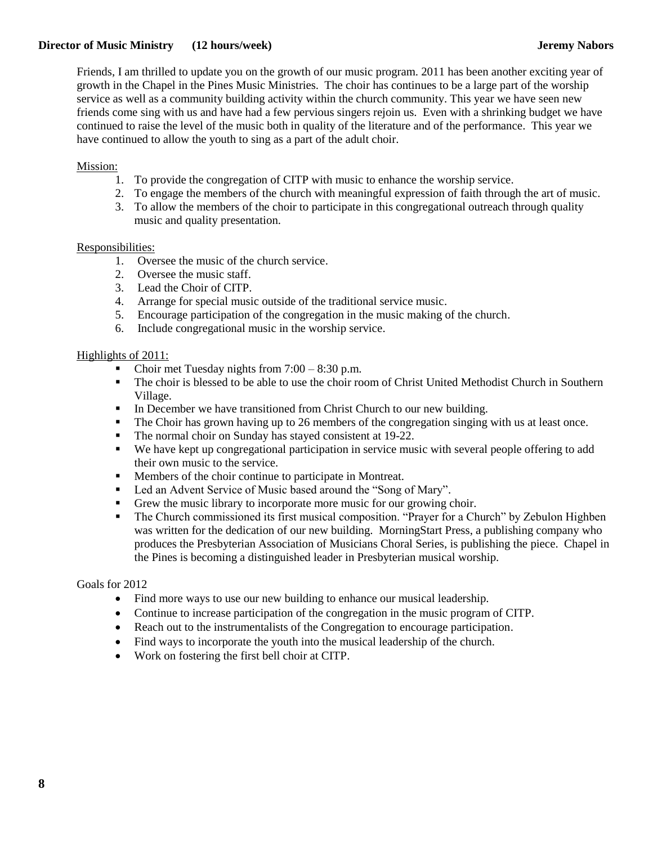# **Director of Music Ministry** (12 hours/week) Jeremy Nabors **Jeremy Nabors**

Friends, I am thrilled to update you on the growth of our music program. 2011 has been another exciting year of growth in the Chapel in the Pines Music Ministries. The choir has continues to be a large part of the worship service as well as a community building activity within the church community. This year we have seen new friends come sing with us and have had a few pervious singers rejoin us. Even with a shrinking budget we have continued to raise the level of the music both in quality of the literature and of the performance. This year we have continued to allow the youth to sing as a part of the adult choir.

# Mission:

- 1. To provide the congregation of CITP with music to enhance the worship service.
- 2. To engage the members of the church with meaningful expression of faith through the art of music.
- 3. To allow the members of the choir to participate in this congregational outreach through quality music and quality presentation.

# Responsibilities:

- 1. Oversee the music of the church service.
- 2. Oversee the music staff.
- 3. Lead the Choir of CITP.
- 4. Arrange for special music outside of the traditional service music.
- 5. Encourage participation of the congregation in the music making of the church.
- 6. Include congregational music in the worship service.

# Highlights of 2011:

- Choir met Tuesday nights from 7:00 8:30 p.m.
- The choir is blessed to be able to use the choir room of Christ United Methodist Church in Southern Village.
- In December we have transitioned from Christ Church to our new building.
- The Choir has grown having up to 26 members of the congregation singing with us at least once.
- The normal choir on Sunday has stayed consistent at 19-22.
- We have kept up congregational participation in service music with several people offering to add their own music to the service.
- **Members of the choir continue to participate in Montreat.**
- Led an Advent Service of Music based around the "Song of Mary".
- Grew the music library to incorporate more music for our growing choir.
- The Church commissioned its first musical composition. "Prayer for a Church" by Zebulon Highben was written for the dedication of our new building. MorningStart Press, a publishing company who produces the Presbyterian Association of Musicians Choral Series, is publishing the piece. Chapel in the Pines is becoming a distinguished leader in Presbyterian musical worship.

# Goals for 2012

- Find more ways to use our new building to enhance our musical leadership.
- Continue to increase participation of the congregation in the music program of CITP.
- Reach out to the instrumentalists of the Congregation to encourage participation.
- Find ways to incorporate the youth into the musical leadership of the church.
- Work on fostering the first bell choir at CITP.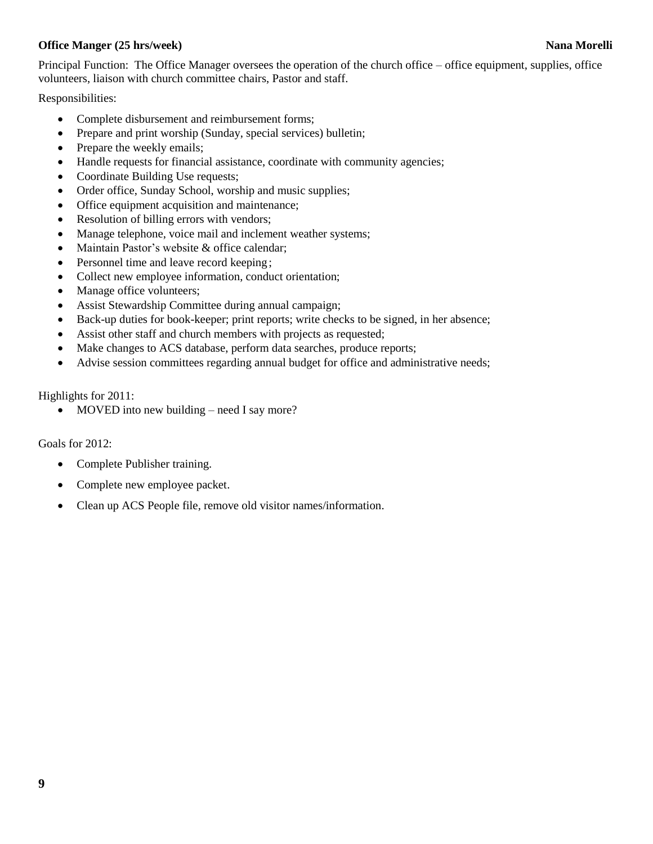# **Office Manger (25 hrs/week)** Nana Morelli

Responsibilities:

- Complete disbursement and reimbursement forms;
- Prepare and print worship (Sunday, special services) bulletin;
- Prepare the weekly emails;
- Handle requests for financial assistance, coordinate with community agencies;
- Coordinate Building Use requests;
- Order office, Sunday School, worship and music supplies;
- Office equipment acquisition and maintenance;
- Resolution of billing errors with vendors;
- Manage telephone, voice mail and inclement weather systems;
- Maintain Pastor's website & office calendar;
- Personnel time and leave record keeping;
- Collect new employee information, conduct orientation;
- Manage office volunteers;
- Assist Stewardship Committee during annual campaign;
- Back-up duties for book-keeper; print reports; write checks to be signed, in her absence;
- Assist other staff and church members with projects as requested;
- Make changes to ACS database, perform data searches, produce reports;
- Advise session committees regarding annual budget for office and administrative needs;

Highlights for 2011:

• MOVED into new building – need I say more?

Goals for 2012:

- Complete Publisher training.
- Complete new employee packet.
- Clean up ACS People file, remove old visitor names/information.

**9**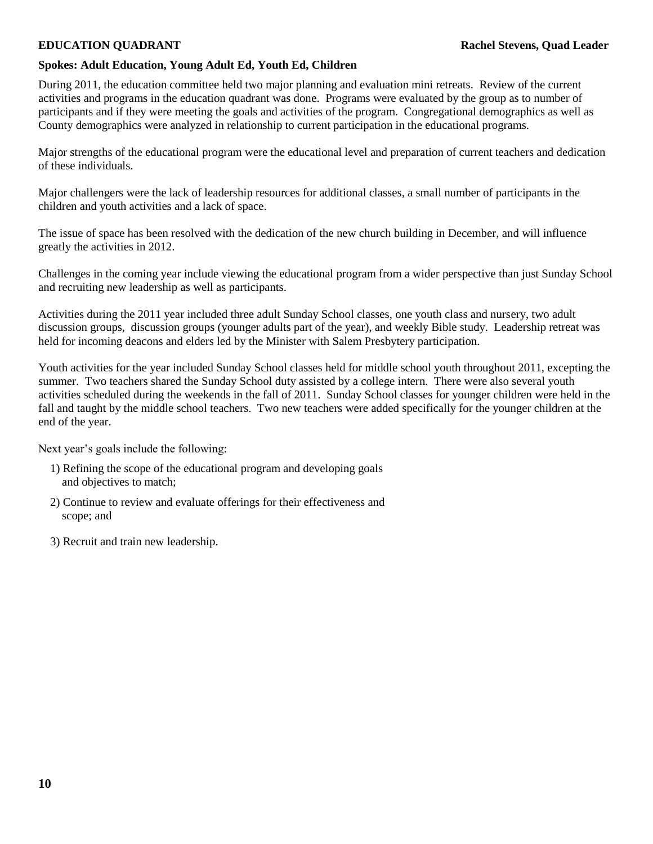# **Spokes: Adult Education, Young Adult Ed, Youth Ed, Children**

During 2011, the education committee held two major planning and evaluation mini retreats. Review of the current activities and programs in the education quadrant was done. Programs were evaluated by the group as to number of participants and if they were meeting the goals and activities of the program. Congregational demographics as well as County demographics were analyzed in relationship to current participation in the educational programs.

Major strengths of the educational program were the educational level and preparation of current teachers and dedication of these individuals.

Major challengers were the lack of leadership resources for additional classes, a small number of participants in the children and youth activities and a lack of space.

The issue of space has been resolved with the dedication of the new church building in December, and will influence greatly the activities in 2012.

Challenges in the coming year include viewing the educational program from a wider perspective than just Sunday School and recruiting new leadership as well as participants.

Activities during the 2011 year included three adult Sunday School classes, one youth class and nursery, two adult discussion groups, discussion groups (younger adults part of the year), and weekly Bible study. Leadership retreat was held for incoming deacons and elders led by the Minister with Salem Presbytery participation.

Youth activities for the year included Sunday School classes held for middle school youth throughout 2011, excepting the summer. Two teachers shared the Sunday School duty assisted by a college intern. There were also several youth activities scheduled during the weekends in the fall of 2011. Sunday School classes for younger children were held in the fall and taught by the middle school teachers. Two new teachers were added specifically for the younger children at the end of the year.

Next year's goals include the following:

- 1) Refining the scope of the educational program and developing goals and objectives to match;
- 2) Continue to review and evaluate offerings for their effectiveness and scope; and
- 3) Recruit and train new leadership.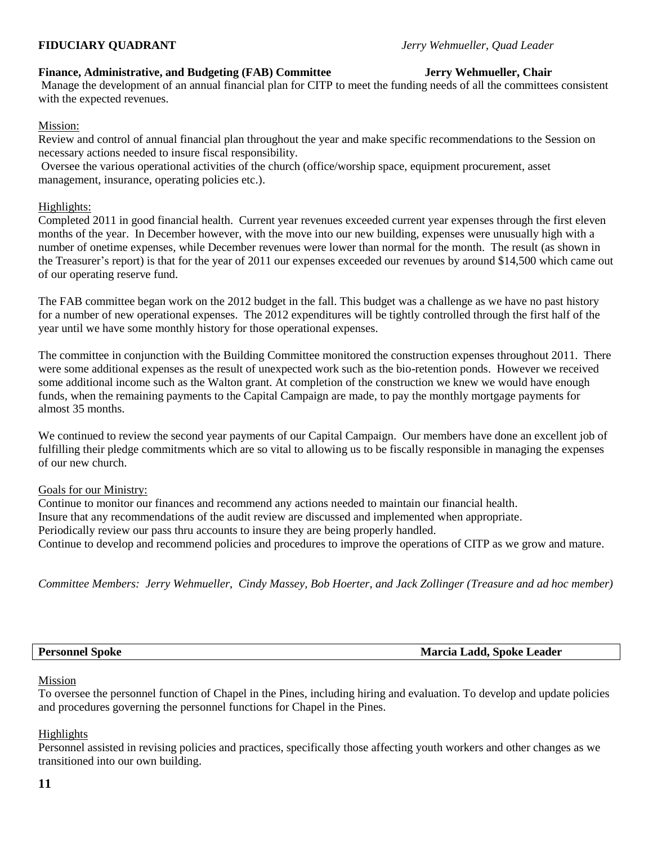# **Finance, Administrative, and Budgeting (FAB) Committee Jerry Wehmueller, Chair**

Manage the development of an annual financial plan for CITP to meet the funding needs of all the committees consistent with the expected revenues.

# Mission:

Review and control of annual financial plan throughout the year and make specific recommendations to the Session on necessary actions needed to insure fiscal responsibility.

Oversee the various operational activities of the church (office/worship space, equipment procurement, asset management, insurance, operating policies etc.).

# Highlights:

Completed 2011 in good financial health. Current year revenues exceeded current year expenses through the first eleven months of the year. In December however, with the move into our new building, expenses were unusually high with a number of onetime expenses, while December revenues were lower than normal for the month. The result (as shown in the Treasurer's report) is that for the year of 2011 our expenses exceeded our revenues by around \$14,500 which came out of our operating reserve fund.

The FAB committee began work on the 2012 budget in the fall. This budget was a challenge as we have no past history for a number of new operational expenses. The 2012 expenditures will be tightly controlled through the first half of the year until we have some monthly history for those operational expenses.

The committee in conjunction with the Building Committee monitored the construction expenses throughout 2011. There were some additional expenses as the result of unexpected work such as the bio-retention ponds. However we received some additional income such as the Walton grant. At completion of the construction we knew we would have enough funds, when the remaining payments to the Capital Campaign are made, to pay the monthly mortgage payments for almost 35 months.

We continued to review the second year payments of our Capital Campaign. Our members have done an excellent job of fulfilling their pledge commitments which are so vital to allowing us to be fiscally responsible in managing the expenses of our new church.

# Goals for our Ministry:

Continue to monitor our finances and recommend any actions needed to maintain our financial health. Insure that any recommendations of the audit review are discussed and implemented when appropriate. Periodically review our pass thru accounts to insure they are being properly handled. Continue to develop and recommend policies and procedures to improve the operations of CITP as we grow and mature.

*Committee Members: Jerry Wehmueller, Cindy Massey, Bob Hoerter, and Jack Zollinger (Treasure and ad hoc member)*

**Personnel Spoke Marcia Ladd, Spoke Leader**

# Mission

To oversee the personnel function of Chapel in the Pines, including hiring and evaluation. To develop and update policies and procedures governing the personnel functions for Chapel in the Pines.

# Highlights

Personnel assisted in revising policies and practices, specifically those affecting youth workers and other changes as we transitioned into our own building.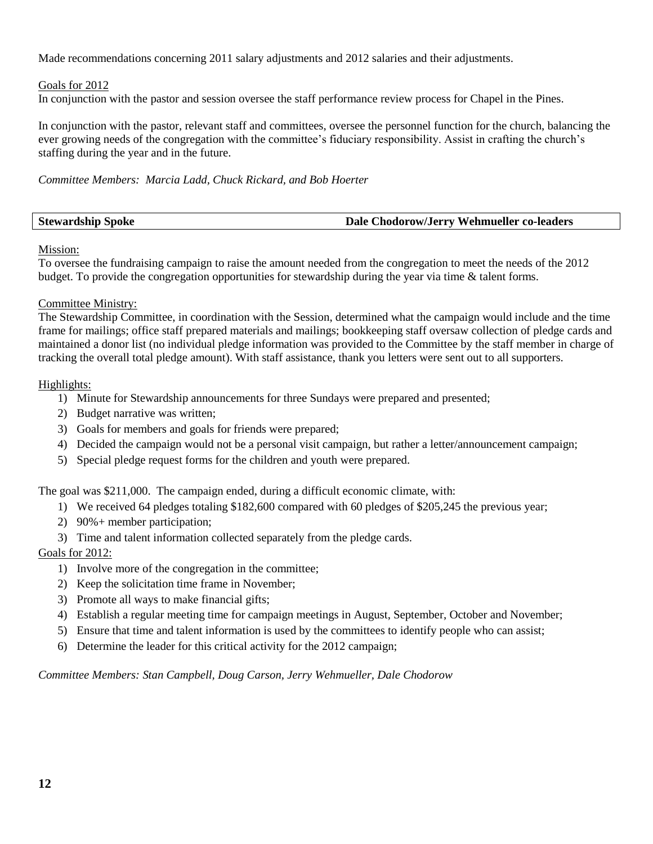Made recommendations concerning 2011 salary adjustments and 2012 salaries and their adjustments.

# Goals for 2012

In conjunction with the pastor and session oversee the staff performance review process for Chapel in the Pines.

In conjunction with the pastor, relevant staff and committees, oversee the personnel function for the church, balancing the ever growing needs of the congregation with the committee's fiduciary responsibility. Assist in crafting the church's staffing during the year and in the future.

*Committee Members: Marcia Ladd, Chuck Rickard, and Bob Hoerter*

| <b>Stewardship Spoke</b> | Dale Chodorow/Jerry Wehmueller co-leaders |
|--------------------------|-------------------------------------------|
|                          |                                           |

Mission:

To oversee the fundraising campaign to raise the amount needed from the congregation to meet the needs of the 2012 budget. To provide the congregation opportunities for stewardship during the year via time & talent forms.

# Committee Ministry:

The Stewardship Committee, in coordination with the Session, determined what the campaign would include and the time frame for mailings; office staff prepared materials and mailings; bookkeeping staff oversaw collection of pledge cards and maintained a donor list (no individual pledge information was provided to the Committee by the staff member in charge of tracking the overall total pledge amount). With staff assistance, thank you letters were sent out to all supporters.

# Highlights:

- 1) Minute for Stewardship announcements for three Sundays were prepared and presented;
- 2) Budget narrative was written;
- 3) Goals for members and goals for friends were prepared;
- 4) Decided the campaign would not be a personal visit campaign, but rather a letter/announcement campaign;
- 5) Special pledge request forms for the children and youth were prepared.

The goal was \$211,000. The campaign ended, during a difficult economic climate, with:

- 1) We received 64 pledges totaling \$182,600 compared with 60 pledges of \$205,245 the previous year;
- 2) 90%+ member participation;
- 3) Time and talent information collected separately from the pledge cards.

# Goals for 2012:

- 1) Involve more of the congregation in the committee;
- 2) Keep the solicitation time frame in November;
- 3) Promote all ways to make financial gifts;
- 4) Establish a regular meeting time for campaign meetings in August, September, October and November;
- 5) Ensure that time and talent information is used by the committees to identify people who can assist;
- 6) Determine the leader for this critical activity for the 2012 campaign;

*Committee Members: Stan Campbell, Doug Carson, Jerry Wehmueller, Dale Chodorow*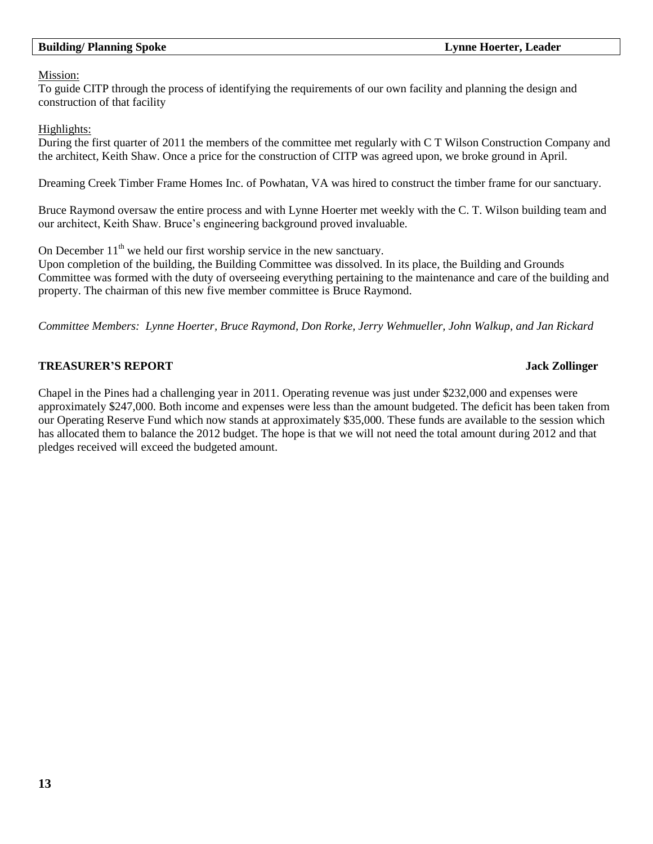# **Building/ Planning Spoke Lynne Hoerter, Leader**

### Mission:

To guide CITP through the process of identifying the requirements of our own facility and planning the design and construction of that facility

# Highlights:

During the first quarter of 2011 the members of the committee met regularly with C T Wilson Construction Company and the architect, Keith Shaw. Once a price for the construction of CITP was agreed upon, we broke ground in April.

Dreaming Creek Timber Frame Homes Inc. of Powhatan, VA was hired to construct the timber frame for our sanctuary.

Bruce Raymond oversaw the entire process and with Lynne Hoerter met weekly with the C. T. Wilson building team and our architect, Keith Shaw. Bruce's engineering background proved invaluable.

On December  $11<sup>th</sup>$  we held our first worship service in the new sanctuary.

Upon completion of the building, the Building Committee was dissolved. In its place, the Building and Grounds Committee was formed with the duty of overseeing everything pertaining to the maintenance and care of the building and property. The chairman of this new five member committee is Bruce Raymond.

*Committee Members: Lynne Hoerter, Bruce Raymond, Don Rorke, Jerry Wehmueller, John Walkup, and Jan Rickard*

# **TREASURER'S REPORT GEORGIA CONSUMING THE SERVICE SERVICE SERVICE SERVICE SERVICE SERVICE SERVICE SERVICE SERVICE SERVICE SERVICE SERVICE SERVICE SERVICE SERVICE SERVICE SERVICE SERVICE SERVICE SERVICE SERVICE SERVICE SERV**

# Chapel in the Pines had a challenging year in 2011. Operating revenue was just under \$232,000 and expenses were approximately \$247,000. Both income and expenses were less than the amount budgeted. The deficit has been taken from our Operating Reserve Fund which now stands at approximately \$35,000. These funds are available to the session which has allocated them to balance the 2012 budget. The hope is that we will not need the total amount during 2012 and that pledges received will exceed the budgeted amount.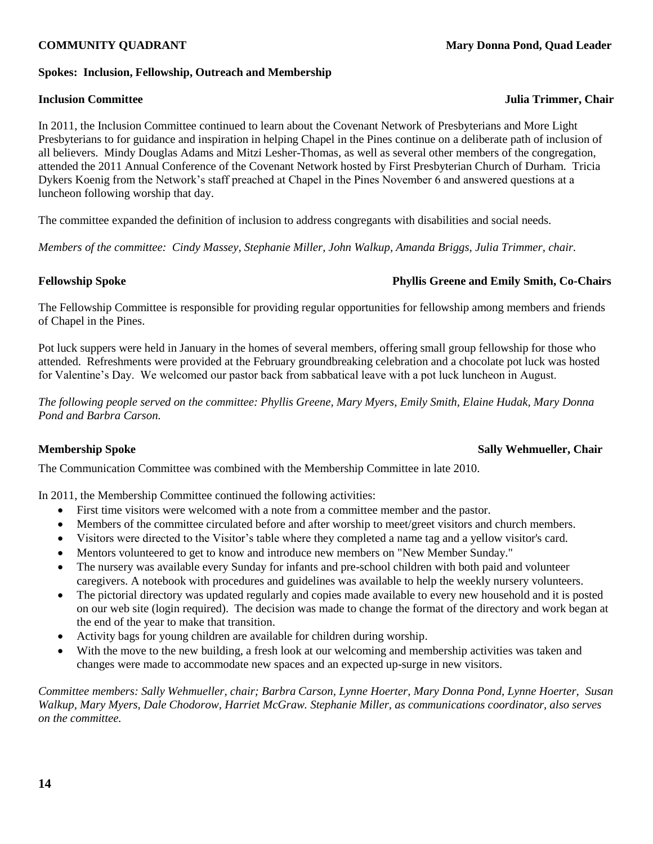### **Spokes: Inclusion, Fellowship, Outreach and Membership**

### **Inclusion Committee Julia Trimmer, Chair**

In 2011, the Inclusion Committee continued to learn about the Covenant Network of Presbyterians and More Light Presbyterians to for guidance and inspiration in helping Chapel in the Pines continue on a deliberate path of inclusion of all believers. Mindy Douglas Adams and Mitzi Lesher-Thomas, as well as several other members of the congregation, attended the 2011 Annual Conference of the Covenant Network hosted by First Presbyterian Church of Durham. Tricia Dykers Koenig from the Network's staff preached at Chapel in the Pines November 6 and answered questions at a luncheon following worship that day.

The committee expanded the definition of inclusion to address congregants with disabilities and social needs.

*Members of the committee: Cindy Massey, Stephanie Miller, John Walkup, Amanda Briggs, Julia Trimmer, chair.*

# **Fellowship Spoke Phyllis Greene and Emily Smith, Co-Chairs**

The Fellowship Committee is responsible for providing regular opportunities for fellowship among members and friends of Chapel in the Pines.

Pot luck suppers were held in January in the homes of several members, offering small group fellowship for those who attended. Refreshments were provided at the February groundbreaking celebration and a chocolate pot luck was hosted for Valentine's Day. We welcomed our pastor back from sabbatical leave with a pot luck luncheon in August.

*The following people served on the committee: Phyllis Greene, Mary Myers, Emily Smith, Elaine Hudak, Mary Donna Pond and Barbra Carson.*

### **Membership Spoke Sally Wehmueller, Chair and Sally Wehmueller, Chair and Sally Wehmueller, Chair and Sally Wehmueller, Chair and Sally Wehmueller, Chair and Sally Wehmueller, Chair and Sally Wehmueller, Chair and Sally We**

The Communication Committee was combined with the Membership Committee in late 2010.

In 2011, the Membership Committee continued the following activities:

- First time visitors were welcomed with a note from a committee member and the pastor.
- Members of the committee circulated before and after worship to meet/greet visitors and church members.
- Visitors were directed to the Visitor's table where they completed a name tag and a yellow visitor's card.
- Mentors volunteered to get to know and introduce new members on "New Member Sunday."
- The nursery was available every Sunday for infants and pre-school children with both paid and volunteer caregivers. A notebook with procedures and guidelines was available to help the weekly nursery volunteers.
- The pictorial directory was updated regularly and copies made available to every new household and it is posted on our web site (login required). The decision was made to change the format of the directory and work began at the end of the year to make that transition.
- Activity bags for young children are available for children during worship.
- With the move to the new building, a fresh look at our welcoming and membership activities was taken and changes were made to accommodate new spaces and an expected up-surge in new visitors.

*Committee members: Sally Wehmueller, chair; Barbra Carson, Lynne Hoerter, Mary Donna Pond, Lynne Hoerter, Susan Walkup, Mary Myers, Dale Chodorow, Harriet McGraw. Stephanie Miller, as communications coordinator, also serves on the committee.*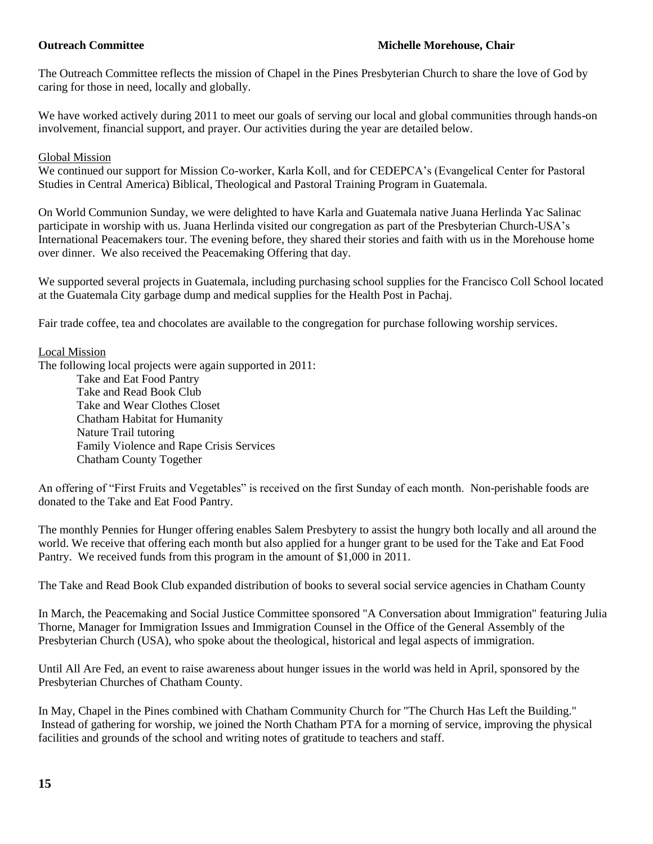The Outreach Committee reflects the mission of Chapel in the Pines Presbyterian Church to share the love of God by caring for those in need, locally and globally.

We have worked actively during 2011 to meet our goals of serving our local and global communities through hands-on involvement, financial support, and prayer. Our activities during the year are detailed below.

# Global Mission

We continued our support for Mission Co-worker, Karla Koll, and for CEDEPCA's (Evangelical Center for Pastoral Studies in Central America) Biblical, Theological and Pastoral Training Program in Guatemala.

On World Communion Sunday, we were delighted to have Karla and Guatemala native Juana Herlinda Yac Salinac participate in worship with us. Juana Herlinda visited our congregation as part of the Presbyterian Church-USA's International Peacemakers tour. The evening before, they shared their stories and faith with us in the Morehouse home over dinner. We also received the Peacemaking Offering that day.

We supported several projects in Guatemala, including purchasing school supplies for the Francisco Coll School located at the Guatemala City garbage dump and medical supplies for the Health Post in Pachaj.

Fair trade coffee, tea and chocolates are available to the congregation for purchase following worship services.

# Local Mission

The following local projects were again supported in 2011: Take and Eat Food Pantry Take and Read Book Club Take and Wear Clothes Closet Chatham Habitat for Humanity Nature Trail tutoring

Family Violence and Rape Crisis Services Chatham County Together

An offering of "First Fruits and Vegetables" is received on the first Sunday of each month. Non-perishable foods are donated to the Take and Eat Food Pantry.

The monthly Pennies for Hunger offering enables Salem Presbytery to assist the hungry both locally and all around the world. We receive that offering each month but also applied for a hunger grant to be used for the Take and Eat Food Pantry. We received funds from this program in the amount of \$1,000 in 2011.

The Take and Read Book Club expanded distribution of books to several social service agencies in Chatham County

In March, the Peacemaking and Social Justice Committee sponsored "A Conversation about Immigration" featuring Julia Thorne, Manager for Immigration Issues and Immigration Counsel in the Office of the General Assembly of the Presbyterian Church (USA), who spoke about the theological, historical and legal aspects of immigration.

Until All Are Fed, an event to raise awareness about hunger issues in the world was held in April, sponsored by the Presbyterian Churches of Chatham County.

In May, Chapel in the Pines combined with Chatham Community Church for "The Church Has Left the Building." Instead of gathering for worship, we joined the North Chatham PTA for a morning of service, improving the physical facilities and grounds of the school and writing notes of gratitude to teachers and staff.